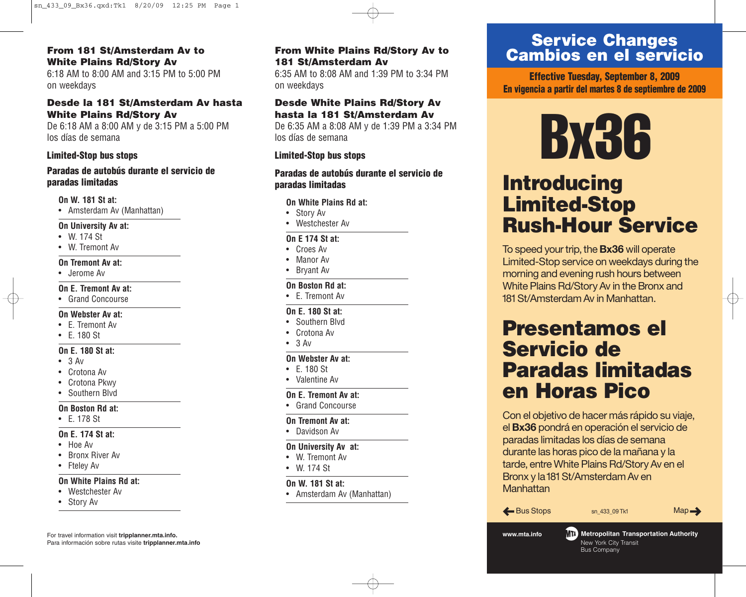#### **From 181 St/Amsterdam Av to White Plains Rd/Story Av**

6:18 AM to 8:00 AM and 3:15 PM to 5:00 PM on weekdays

#### **Desde la 181 St/Amsterdam Av hasta White Plains Rd/Story Av**

De 6:18 AM a 8:00 AM y de 3:15 PM a 5:00 PM los días de semana

#### **Limited-Stop bus stops**

#### **Paradas de autobús durante el servicio de paradas limitadas**

**On W. 181 St at:**

• Amsterdam Av (Manhattan)

#### **On University Av at:**

- W. 174 St
- W. Tremont Av

#### **On Tremont Av at:**

• Jerome Av

#### **On E. Tremont Av at:**

• Grand Concourse

#### **On Webster Av at:**

- E. Tremont Av
- E. 180 St

#### **On E. 180 St at:**

- $3 Av$
- Crotona Av
- Crotona Pkwy
- Southern Blvd

#### **On Boston Rd at:**

• E. 178 St

#### **On E. 174 St at:**

- Hoe Av
- Bronx River Av
- Fteley Av

#### **On White Plains Rd at:**

- Westchester Av
- Story Av

For travel information visit **tripplanner.mta.info.** Para información sobre rutas visite **tripplanner.mta.info**

#### **From White Plains Rd/Story Av to 181 St/Amsterdam Av** 6:35 AM to 8:08 AM and 1:39 PM to 3:34 PM

on weekdays

#### **Desde White Plains Rd/Story Av hasta la 181 St/Amsterdam Av**

De 6:35 AM a 8:08 AM y de 1:39 PM a 3:34 PM los días de semana

#### **Limited-Stop bus stops**

**Paradas de autobús durante el servicio de paradas limitadas**

#### **On White Plains Rd at:**

- Story Av
- Westchester Av

#### **On E 174 St at:**

- Croes Av
- Manor Av
- Bryant Av

#### **On Boston Rd at:**

• E. Tremont Av

#### **On E. 180 St at:**

- Southern Blvd
- Crotona Av
- $\bullet$  3 Av

#### **On Webster Av at:**

- E. 180 St
- Valentine Av

#### **On E. Tremont Av at:**

• Grand Concourse

#### **On Tremont Av at:**

• Davidson Av

#### **On University Av at:**

- W. Tremont Av
- W. 174 St
- 

#### **On W. 181 St at:**

• Amsterdam Av (Manhattan)

### **Service Changes Cambios en el servicio**

**Effective Tuesday, September 8, 2009 En vigencia a partir del martes 8 de septiembre de 2009**

# **By**

# **Introducing Limited-Stop Rush-Hour Service**

To speed your trip, the **Bx36** will operate Limited-Stop service on weekdays during the morning and evening rush hours between White Plains Rd/Story Av in the Bronx and 181 St/Amsterdam Av in Manhattan.

## **Presentamos el Servicio de Paradas limitadas en Horas Pico**

Con el objetivo de hacer más rápido su viaje, el **Bx36** pondrá en operación el servicio de paradas limitadas los días de semana durante las horas pico de la mañana y la tarde, entre White Plains Rd/StoryAv en el Bronx y la 181 St/Amsterdam Av en **Manhattan** 

 $\triangle$  Bus Stops sn\_433\_09 Tk1 Map $\rightarrow$ 

www.mta.info <mark>MTA</mark> Metropolitan Transportation Authority New York City Transit Bu s C o m p a n y